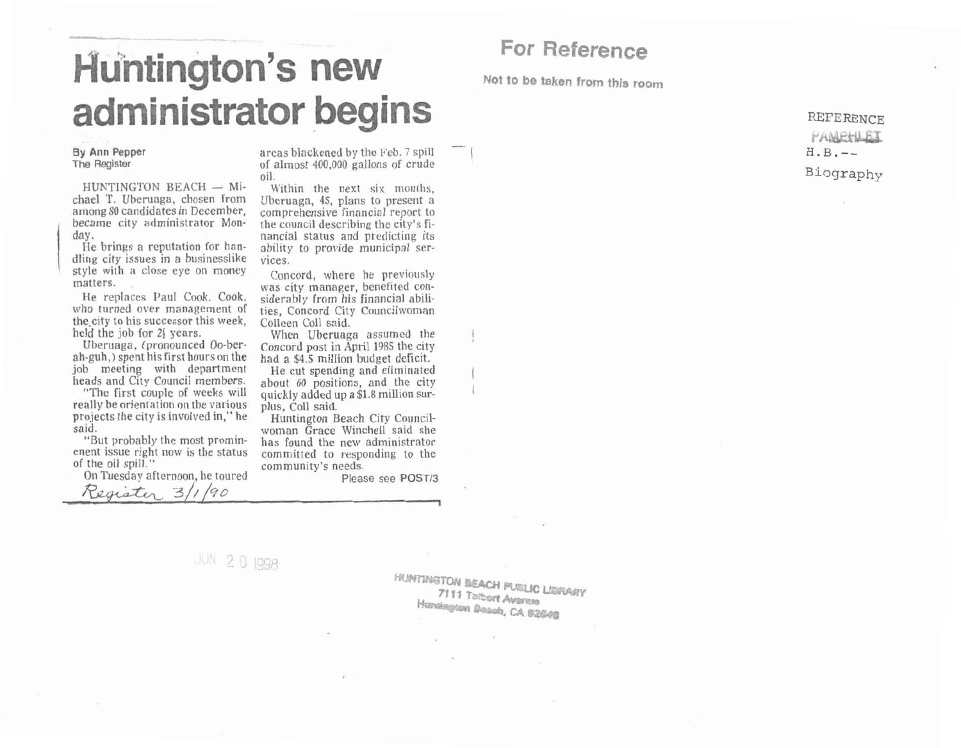## **Huntington's new** administrator begins

HUNTINGTON BEACH  $-$  Mi-<br>chael T. Uberuaga, chosen from Uberuaga, 45, plans to present a

dling city issues in a businesslike vices. style with a close eye on money<br>
Concord, where he previously<br>
was city manager, benefited con-

the city to his successor this week, Colleen Coll said. held the job for 21 years. When Uberuaga assumed the

job meeting with department

really be orientation on the various plus, Coll said. projects the city is involved in," he Huntington Beach City Council-

enent issue right now is the status committed to responding to the of the oil spill." community's needs.

Register 3/1/90

On Tuesday afternoon, he toured Please see **POST13** 

**By Ann Pepper** areas blackened by the Feb. *7* spill The Register of almost 400,000 gallons of crude<br>
HUNTINGTON BEACH - Mi-<br>
Within the next six months, oil.

among **\$0** candidates in December, comprehensive financial report to became city administrator Mon- the council describing the city's fiday. **nancial** status and predicting its He brings a reputation for han-<br>ability to provide municipal ser-

He replaces Paul Cook. Cook, siderably from his financial abiliwho turned over management of ties, Concord City Councilwoman

Uberuaga, (pronounced Oo-ber-<br>ah-guh,) spent his first hours on the had a \$4.5 million budget deficit.

job meeting with department He cut spending and eliminated heads and City Council members. about 60 positions, and the city "The first couple of weeks will quickly added up a **\$1.8** million sur-

said. **woman** Grace Winchell said she "Rut probably the most promin- has found the new administrator

JUN 20 1998

**For Reference** 

**Not to be taken from this room** 

 $-$  I

**REFERENCE** PAMEFILET  $H.B. --$ Biography

HUNTINGTON BEACH PUBLIC LIBRARY **7111 Talbart Avenue** Huntington Boach, CA 92648